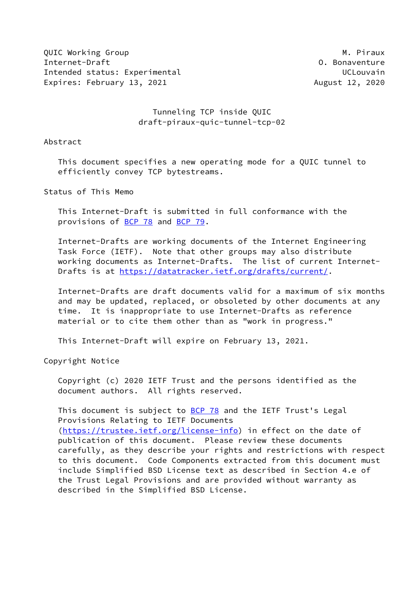OUIC Working Group **M. Piraux** M. Piraux Internet-Draft O. Bonaventure Intended status: Experimental UCLOUVain Expires: February 13, 2021 and the control of the August 12, 2020

## Tunneling TCP inside QUIC draft-piraux-quic-tunnel-tcp-02

Abstract

 This document specifies a new operating mode for a QUIC tunnel to efficiently convey TCP bytestreams.

Status of This Memo

 This Internet-Draft is submitted in full conformance with the provisions of [BCP 78](https://datatracker.ietf.org/doc/pdf/bcp78) and [BCP 79](https://datatracker.ietf.org/doc/pdf/bcp79).

 Internet-Drafts are working documents of the Internet Engineering Task Force (IETF). Note that other groups may also distribute working documents as Internet-Drafts. The list of current Internet- Drafts is at<https://datatracker.ietf.org/drafts/current/>.

 Internet-Drafts are draft documents valid for a maximum of six months and may be updated, replaced, or obsoleted by other documents at any time. It is inappropriate to use Internet-Drafts as reference material or to cite them other than as "work in progress."

This Internet-Draft will expire on February 13, 2021.

Copyright Notice

 Copyright (c) 2020 IETF Trust and the persons identified as the document authors. All rights reserved.

This document is subject to  $BCP$  78 and the IETF Trust's Legal Provisions Relating to IETF Documents [\(https://trustee.ietf.org/license-info](https://trustee.ietf.org/license-info)) in effect on the date of publication of this document. Please review these documents carefully, as they describe your rights and restrictions with respect to this document. Code Components extracted from this document must include Simplified BSD License text as described in Section 4.e of the Trust Legal Provisions and are provided without warranty as described in the Simplified BSD License.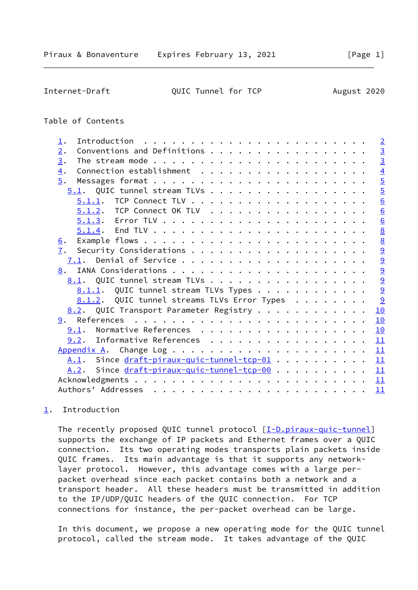<span id="page-1-1"></span>Internet-Draft QUIC Tunnel for TCP August 2020

## Table of Contents

| $\mathbf{\underline{1}}$ .                    |                 | $\overline{2}$ |
|-----------------------------------------------|-----------------|----------------|
| Conventions and Definitions<br>2.             | $\overline{3}$  |                |
| 3.                                            |                 | $\overline{3}$ |
| 4.                                            |                 | $\overline{4}$ |
| 5.                                            | $\overline{5}$  |                |
| $5.1$ . QUIC tunnel stream TLVs               |                 | $\overline{5}$ |
|                                               |                 | 6              |
| <u>5.1.2</u> . TCP Connect OK TLV             |                 | 6              |
|                                               |                 | 6              |
|                                               | $\underline{8}$ |                |
| <u>6</u> .                                    | $\underline{8}$ |                |
| 7.                                            |                 | $\overline{a}$ |
| 7.1.                                          |                 | $\overline{9}$ |
| 8.                                            |                 | 9              |
| 8.1. QUIC tunnel stream TLVs                  |                 | 9              |
| 8.1.1. QUIC tunnel stream TLVs Types          | 9               |                |
| 8.1.2. QUIC tunnel streams TLVs Error Types   | 9               |                |
| 8.2. QUIC Transport Parameter Registry        | 10              |                |
|                                               | 10              |                |
| 9.1. Normative References                     | 10              |                |
| 9.2. Informative References                   | 11              |                |
|                                               | 11              |                |
| A.1. Since draft-piraux-quic-tunnel-tcp-01 11 |                 |                |
| A.2. Since draft-piraux-quic-tunnel-tcp-00 11 |                 |                |
|                                               |                 |                |
|                                               | 11              |                |
|                                               |                 |                |

# <span id="page-1-0"></span>[1](#page-1-0). Introduction

The recently proposed QUIC tunnel protocol [[I-D.piraux-quic-tunnel](#page-10-4)] supports the exchange of IP packets and Ethernet frames over a QUIC connection. Its two operating modes transports plain packets inside QUIC frames. Its main advantage is that it supports any network layer protocol. However, this advantage comes with a large per packet overhead since each packet contains both a network and a transport header. All these headers must be transmitted in addition to the IP/UDP/QUIC headers of the QUIC connection. For TCP connections for instance, the per-packet overhead can be large.

 In this document, we propose a new operating mode for the QUIC tunnel protocol, called the stream mode. It takes advantage of the QUIC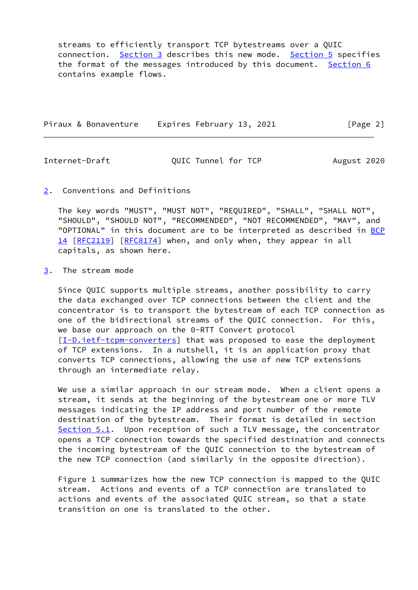streams to efficiently transport TCP bytestreams over a QUIC connection. [Section 3](#page-2-2) describes this new mode. [Section 5](#page-4-1) specifies the format of the messages introduced by this document. [Section 6](#page-8-0) contains example flows.

|  | Piraux & Bonaventure | Expires February 13, 2021 |  | [Page 2] |  |
|--|----------------------|---------------------------|--|----------|--|
|  |                      |                           |  |          |  |

<span id="page-2-1"></span>Internet-Draft QUIC Tunnel for TCP August 2020

#### <span id="page-2-0"></span>[2](#page-2-0). Conventions and Definitions

 The key words "MUST", "MUST NOT", "REQUIRED", "SHALL", "SHALL NOT", "SHOULD", "SHOULD NOT", "RECOMMENDED", "NOT RECOMMENDED", "MAY", and "OPTIONAL" in this document are to be interpreted as described in [BCP](https://datatracker.ietf.org/doc/pdf/bcp14) [14](https://datatracker.ietf.org/doc/pdf/bcp14) [[RFC2119\]](https://datatracker.ietf.org/doc/pdf/rfc2119) [\[RFC8174](https://datatracker.ietf.org/doc/pdf/rfc8174)] when, and only when, they appear in all capitals, as shown here.

# <span id="page-2-2"></span>[3](#page-2-2). The stream mode

 Since QUIC supports multiple streams, another possibility to carry the data exchanged over TCP connections between the client and the concentrator is to transport the bytestream of each TCP connection as one of the bidirectional streams of the QUIC connection. For this, we base our approach on the 0-RTT Convert protocol [\[I-D.ietf-tcpm-converters](#page-11-4)] that was proposed to ease the deployment of TCP extensions. In a nutshell, it is an application proxy that converts TCP connections, allowing the use of new TCP extensions through an intermediate relay.

We use a similar approach in our stream mode. When a client opens a stream, it sends at the beginning of the bytestream one or more TLV messages indicating the IP address and port number of the remote destination of the bytestream. Their format is detailed in section [Section 5.1](#page-4-3). Upon reception of such a TLV message, the concentrator opens a TCP connection towards the specified destination and connects the incoming bytestream of the QUIC connection to the bytestream of the new TCP connection (and similarly in the opposite direction).

 Figure 1 summarizes how the new TCP connection is mapped to the QUIC stream. Actions and events of a TCP connection are translated to actions and events of the associated QUIC stream, so that a state transition on one is translated to the other.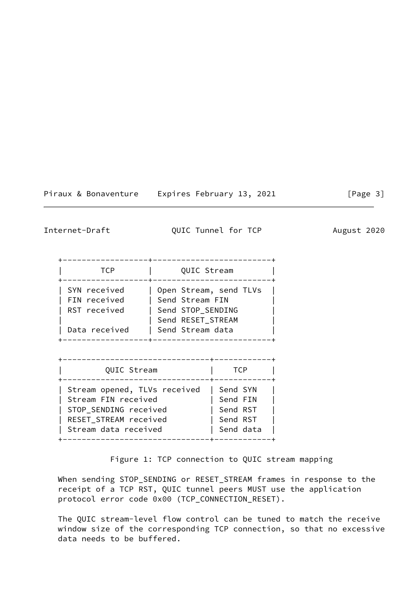| Piraux & Bonaventure |  |  |  |
|----------------------|--|--|--|
|----------------------|--|--|--|

Expires February 13, 2021 [Page 3]

<span id="page-3-0"></span>Internet-Draft QUIC Tunnel for TCP August 2020

| TCP                                          | QUIC Stream                                                                         |
|----------------------------------------------|-------------------------------------------------------------------------------------|
| SYN received<br>FIN received<br>RST received | Open Stream, send TLVs<br>Send Stream FIN<br>Send STOP SENDING<br>Send RESET STREAM |
| Data received                                | Send Stream data                                                                    |

| QUIC Stream                                                                                                                   |
|-------------------------------------------------------------------------------------------------------------------------------|
| Stream opened, TLVs received<br>Stream FIN received<br>STOP SENDING received<br>RESET STREAM received<br>Stream data received |

Figure 1: TCP connection to QUIC stream mapping

 When sending STOP\_SENDING or RESET\_STREAM frames in response to the receipt of a TCP RST, QUIC tunnel peers MUST use the application protocol error code 0x00 (TCP\_CONNECTION\_RESET).

 The QUIC stream-level flow control can be tuned to match the receive window size of the corresponding TCP connection, so that no excessive data needs to be buffered.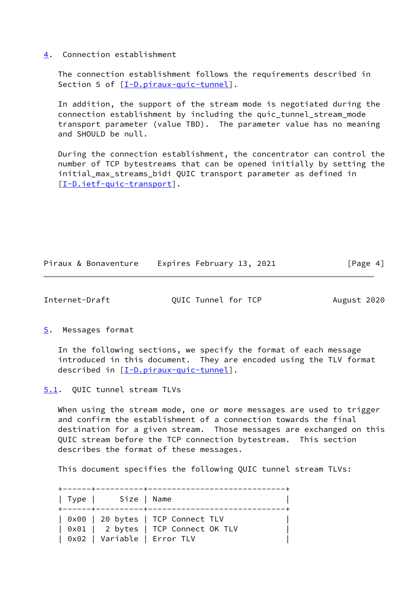#### <span id="page-4-0"></span>[4](#page-4-0). Connection establishment

 The connection establishment follows the requirements described in Section 5 of  $[\underline{I-D.piraux-quic-tunnel}]$ .

 In addition, the support of the stream mode is negotiated during the connection establishment by including the quic\_tunnel\_stream\_mode transport parameter (value TBD). The parameter value has no meaning and SHOULD be null.

 During the connection establishment, the concentrator can control the number of TCP bytestreams that can be opened initially by setting the initial\_max\_streams\_bidi QUIC transport parameter as defined in [\[I-D.ietf-quic-transport](#page-11-5)].

|  |  | Piraux & Bonaventure |  | Expires February 13, 2021 |  |  | [Page 4] |  |
|--|--|----------------------|--|---------------------------|--|--|----------|--|
|--|--|----------------------|--|---------------------------|--|--|----------|--|

<span id="page-4-2"></span>Internet-Draft QUIC Tunnel for TCP August 2020

<span id="page-4-1"></span>[5](#page-4-1). Messages format

 In the following sections, we specify the format of each message introduced in this document. They are encoded using the TLV format described in [\[I-D.piraux-quic-tunnel](#page-10-4)].

<span id="page-4-3"></span>[5.1](#page-4-3). QUIC tunnel stream TLVs

 When using the stream mode, one or more messages are used to trigger and confirm the establishment of a connection towards the final destination for a given stream. Those messages are exchanged on this QUIC stream before the TCP connection bytestream. This section describes the format of these messages.

This document specifies the following QUIC tunnel stream TLVs:

 +------+----------+-----------------------------+ | Type | Size | Name +------+----------+-----------------------------+ | 0x00 | 20 bytes | TCP Connect TLV | | 0x01 | 2 bytes | TCP Connect OK TLV | | 0x02 | Variable | Error TLV |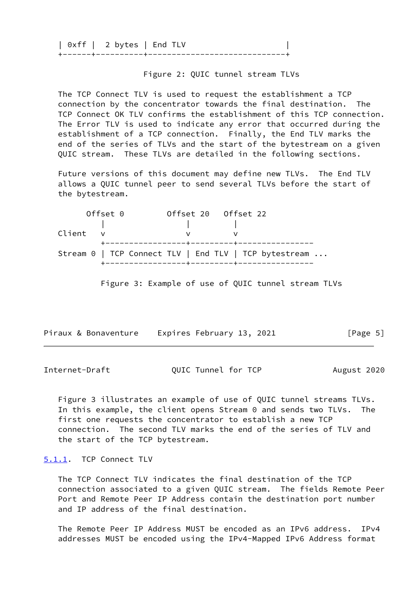| $0xff$   2 bytes   End TLV |  |
|----------------------------|--|
|                            |  |

Figure 2: QUIC tunnel stream TLVs

 The TCP Connect TLV is used to request the establishment a TCP connection by the concentrator towards the final destination. The TCP Connect OK TLV confirms the establishment of this TCP connection. The Error TLV is used to indicate any error that occurred during the establishment of a TCP connection. Finally, the End TLV marks the end of the series of TLVs and the start of the bytestream on a given QUIC stream. These TLVs are detailed in the following sections.

 Future versions of this document may define new TLVs. The End TLV allows a QUIC tunnel peer to send several TLVs before the start of the bytestream.

|          | Offset 0 |                                      |  | Offset 20 Offset 22 |                                                       |  |
|----------|----------|--------------------------------------|--|---------------------|-------------------------------------------------------|--|
|          |          |                                      |  |                     |                                                       |  |
| Client v |          |                                      |  |                     |                                                       |  |
|          |          | +------------------+---------+------ |  |                     |                                                       |  |
|          |          |                                      |  |                     | Stream 0   TCP Connect TLV   End TLV   TCP bytestream |  |
|          |          | -----------------+---------+----     |  |                     |                                                       |  |

Figure 3: Example of use of QUIC tunnel stream TLVs

|  |  | Piraux & Bonaventure |  | Expires February 13, 2021 |  |  | [Page 5] |  |
|--|--|----------------------|--|---------------------------|--|--|----------|--|
|--|--|----------------------|--|---------------------------|--|--|----------|--|

<span id="page-5-1"></span>Internet-Draft QUIC Tunnel for TCP August 2020

 Figure 3 illustrates an example of use of QUIC tunnel streams TLVs. In this example, the client opens Stream 0 and sends two TLVs. The first one requests the concentrator to establish a new TCP connection. The second TLV marks the end of the series of TLV and the start of the TCP bytestream.

## <span id="page-5-0"></span>[5.1.1](#page-5-0). TCP Connect TLV

 The TCP Connect TLV indicates the final destination of the TCP connection associated to a given QUIC stream. The fields Remote Peer Port and Remote Peer IP Address contain the destination port number and IP address of the final destination.

 The Remote Peer IP Address MUST be encoded as an IPv6 address. IPv4 addresses MUST be encoded using the IPv4-Mapped IPv6 Address format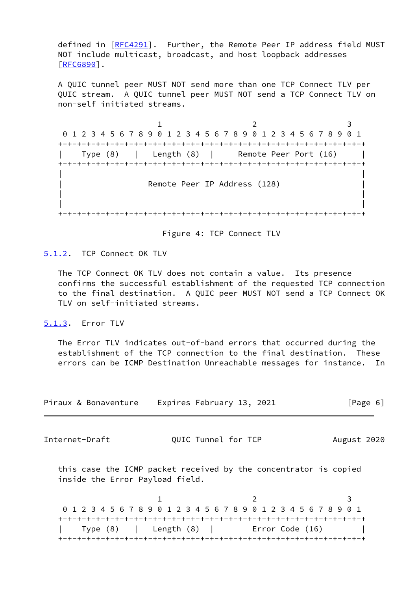defined in  $[REC4291]$ . Further, the Remote Peer IP address field MUST NOT include multicast, broadcast, and host loopback addresses [\[RFC6890](https://datatracker.ietf.org/doc/pdf/rfc6890)].

 A QUIC tunnel peer MUST NOT send more than one TCP Connect TLV per QUIC stream. A QUIC tunnel peer MUST NOT send a TCP Connect TLV on non-self initiated streams.

 $1$  2 3 0 1 2 3 4 5 6 7 8 9 0 1 2 3 4 5 6 7 8 9 0 1 2 3 4 5 6 7 8 9 0 1 +-+-+-+-+-+-+-+-+-+-+-+-+-+-+-+-+-+-+-+-+-+-+-+-+-+-+-+-+-+-+-+-+ | Type (8) | Length (8) | Remote Peer Port (16) | +-+-+-+-+-+-+-+-+-+-+-+-+-+-+-+-+-+-+-+-+-+-+-+-+-+-+-+-+-+-+-+-+ | | Remote Peer IP Address (128) | | | | +-+-+-+-+-+-+-+-+-+-+-+-+-+-+-+-+-+-+-+-+-+-+-+-+-+-+-+-+-+-+-+-+

Figure 4: TCP Connect TLV

<span id="page-6-0"></span>[5.1.2](#page-6-0). TCP Connect OK TLV

 The TCP Connect OK TLV does not contain a value. Its presence confirms the successful establishment of the requested TCP connection to the final destination. A QUIC peer MUST NOT send a TCP Connect OK TLV on self-initiated streams.

<span id="page-6-1"></span>[5.1.3](#page-6-1). Error TLV

 The Error TLV indicates out-of-band errors that occurred during the establishment of the TCP connection to the final destination. These errors can be ICMP Destination Unreachable messages for instance. In

| Piraux & Bonaventure | Expires February 13, 2021 | [Page 6] |
|----------------------|---------------------------|----------|
|----------------------|---------------------------|----------|

Internet-Draft QUIC Tunnel for TCP August 2020

 this case the ICMP packet received by the concentrator is copied inside the Error Payload field.

 $1$  2 3 0 1 2 3 4 5 6 7 8 9 0 1 2 3 4 5 6 7 8 9 0 1 2 3 4 5 6 7 8 9 0 1 +-+-+-+-+-+-+-+-+-+-+-+-+-+-+-+-+-+-+-+-+-+-+-+-+-+-+-+-+-+-+-+-+ | Type (8) | Length (8) | Error Code (16) | +-+-+-+-+-+-+-+-+-+-+-+-+-+-+-+-+-+-+-+-+-+-+-+-+-+-+-+-+-+-+-+-+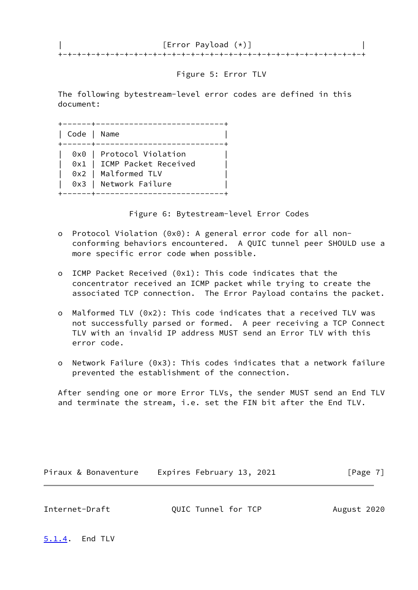| [Error Payload (*)] |  |
|---------------------|--|
|                     |  |

### Figure 5: Error TLV

 The following bytestream-level error codes are defined in this document:

| Code   Name |                                                                                                        |
|-------------|--------------------------------------------------------------------------------------------------------|
|             | 0x0   Protocol Violation<br>0x1   ICMP Packet Received<br>0x2   Malformed TLV<br>0x3   Network Failure |

Figure 6: Bytestream-level Error Codes

- o Protocol Violation (0x0): A general error code for all non conforming behaviors encountered. A QUIC tunnel peer SHOULD use a more specific error code when possible.
- o ICMP Packet Received (0x1): This code indicates that the concentrator received an ICMP packet while trying to create the associated TCP connection. The Error Payload contains the packet.
- o Malformed TLV (0x2): This code indicates that a received TLV was not successfully parsed or formed. A peer receiving a TCP Connect TLV with an invalid IP address MUST send an Error TLV with this error code.
- o Network Failure (0x3): This codes indicates that a network failure prevented the establishment of the connection.

 After sending one or more Error TLVs, the sender MUST send an End TLV and terminate the stream, i.e. set the FIN bit after the End TLV.

Piraux & Bonaventure Expires February 13, 2021 [Page 7]

<span id="page-7-1"></span>Internet-Draft QUIC Tunnel for TCP August 2020

<span id="page-7-0"></span>[5.1.4](#page-7-0). End TLV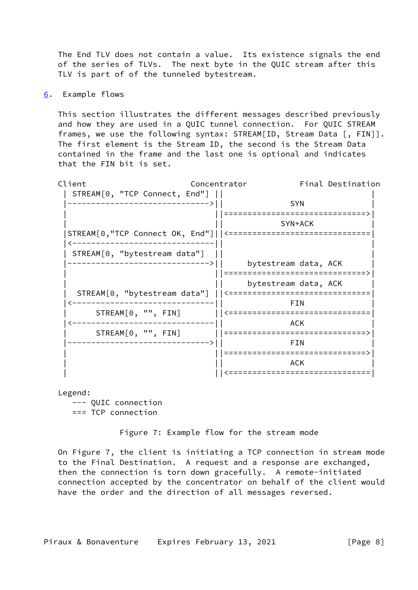The End TLV does not contain a value. Its existence signals the end of the series of TLVs. The next byte in the QUIC stream after this TLV is part of of the tunneled bytestream.

<span id="page-8-0"></span>[6](#page-8-0). Example flows

 This section illustrates the different messages described previously and how they are used in a QUIC tunnel connection. For QUIC STREAM frames, we use the following syntax: STREAM[ID, Stream Data [, FIN]]. The first element is the Stream ID, the second is the Stream Data contained in the frame and the last one is optional and indicates that the FIN bit is set.



Legend:

 --- QUIC connection === TCP connection

Figure 7: Example flow for the stream mode

 On Figure 7, the client is initiating a TCP connection in stream mode to the Final Destination. A request and a response are exchanged, then the connection is torn down gracefully. A remote-initiated connection accepted by the concentrator on behalf of the client would have the order and the direction of all messages reversed.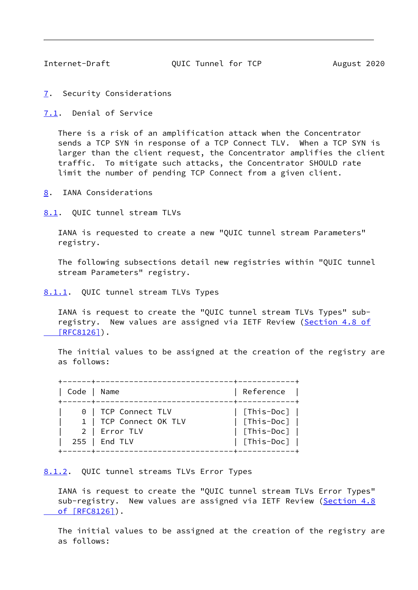<span id="page-9-1"></span>

Internet-Draft QUIC Tunnel for TCP August 2020

<span id="page-9-0"></span>[7](#page-9-0). Security Considerations

<span id="page-9-2"></span>[7.1](#page-9-2). Denial of Service

 There is a risk of an amplification attack when the Concentrator sends a TCP SYN in response of a TCP Connect TLV. When a TCP SYN is larger than the client request, the Concentrator amplifies the client traffic. To mitigate such attacks, the Concentrator SHOULD rate limit the number of pending TCP Connect from a given client.

<span id="page-9-3"></span>[8](#page-9-3). IANA Considerations

<span id="page-9-4"></span>[8.1](#page-9-4). QUIC tunnel stream TLVs

 IANA is requested to create a new "QUIC tunnel stream Parameters" registry.

 The following subsections detail new registries within "QUIC tunnel stream Parameters" registry.

<span id="page-9-5"></span>[8.1.1](#page-9-5). QUIC tunnel stream TLVs Types

 IANA is request to create the "QUIC tunnel stream TLVs Types" sub- registry. New values are assigned via IETF Review ([Section](https://datatracker.ietf.org/doc/pdf/rfc8126#section-4.8) 4.8 of  [\[RFC8126\]](https://datatracker.ietf.org/doc/pdf/rfc8126#section-4.8)).

 The initial values to be assigned at the creation of the registry are as follows:

| Code   Name |                                                                                 | Reference                                                                                                            |
|-------------|---------------------------------------------------------------------------------|----------------------------------------------------------------------------------------------------------------------|
|             | 0   TCP Connect TLV<br>1   TCP Connect OK TLV<br>2   Error TLV<br>255   End TLV | $\vert$ [This-Doc] $\vert$<br>$\vert$ [This-Doc] $\vert$<br>$\vert$ [This-Doc] $\vert$<br>$\vert$ [This-Doc] $\vert$ |

<span id="page-9-6"></span>[8.1.2](#page-9-6). QUIC tunnel streams TLVs Error Types

 IANA is request to create the "QUIC tunnel stream TLVs Error Types" sub-registry. New values are assigned via IETF Review [\(Section](https://datatracker.ietf.org/doc/pdf/rfc8126#section-4.8) 4.8)  [of \[RFC8126\]](https://datatracker.ietf.org/doc/pdf/rfc8126#section-4.8)).

 The initial values to be assigned at the creation of the registry are as follows: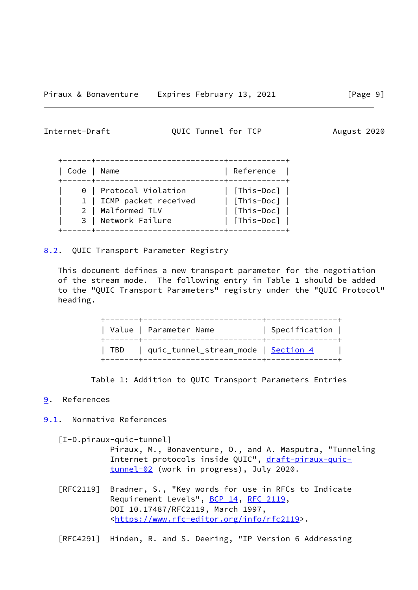<span id="page-10-1"></span>Internet-Draft QUIC Tunnel for TCP August 2020

| Code   Name |                                                    | Reference                                  |
|-------------|----------------------------------------------------|--------------------------------------------|
|             | 0   Protocol Violation<br>1   ICMP packet received | [This-Doc]  <br>$\vert$ [This-Doc] $\vert$ |
|             | 2   Malformed TLV                                  | [This-Doc]                                 |
|             | 3   Network Failure                                | [This-Doc]                                 |

<span id="page-10-0"></span>[8.2](#page-10-0). QUIC Transport Parameter Registry

 This document defines a new transport parameter for the negotiation of the stream mode. The following entry in Table 1 should be added to the "QUIC Transport Parameters" registry under the "QUIC Protocol" heading.

| Value   Parameter Name                    | $\vert$ Specification $\vert$ |
|-------------------------------------------|-------------------------------|
| TBD   quic_tunnel_stream_mode   Section 4 |                               |

Table 1: Addition to QUIC Transport Parameters Entries

#### <span id="page-10-2"></span>[9](#page-10-2). References

<span id="page-10-3"></span>[9.1](#page-10-3). Normative References

<span id="page-10-4"></span>[I-D.piraux-quic-tunnel]

 Piraux, M., Bonaventure, O., and A. Masputra, "Tunneling Internet protocols inside QUIC", [draft-piraux-quic](https://datatracker.ietf.org/doc/pdf/draft-piraux-quic-tunnel-02) [tunnel-02](https://datatracker.ietf.org/doc/pdf/draft-piraux-quic-tunnel-02) (work in progress), July 2020.

 [RFC2119] Bradner, S., "Key words for use in RFCs to Indicate Requirement Levels", [BCP 14](https://datatracker.ietf.org/doc/pdf/bcp14), [RFC 2119](https://datatracker.ietf.org/doc/pdf/rfc2119), DOI 10.17487/RFC2119, March 1997, <[https://www.rfc-editor.org/info/rfc2119>](https://www.rfc-editor.org/info/rfc2119).

[RFC4291] Hinden, R. and S. Deering, "IP Version 6 Addressing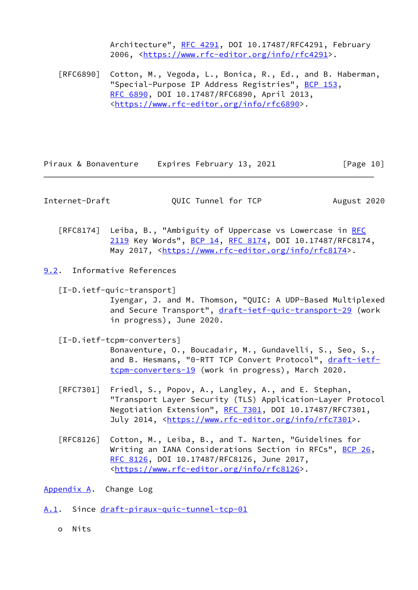Architecture", [RFC 4291](https://datatracker.ietf.org/doc/pdf/rfc4291), DOI 10.17487/RFC4291, February 2006, [<https://www.rfc-editor.org/info/rfc4291](https://www.rfc-editor.org/info/rfc4291)>.

 [RFC6890] Cotton, M., Vegoda, L., Bonica, R., Ed., and B. Haberman, "Special-Purpose IP Address Registries", [BCP 153,](https://datatracker.ietf.org/doc/pdf/bcp153) [RFC 6890,](https://datatracker.ietf.org/doc/pdf/rfc6890) DOI 10.17487/RFC6890, April 2013, <[https://www.rfc-editor.org/info/rfc6890>](https://www.rfc-editor.org/info/rfc6890).

Piraux & Bonaventure Expires February 13, 2021 [Page 10]

<span id="page-11-1"></span>Internet-Draft **QUIC Tunnel for TCP** August 2020

[RFC8174] Leiba, B., "Ambiguity of Uppercase vs Lowercase in [RFC](https://datatracker.ietf.org/doc/pdf/rfc2119) [2119](https://datatracker.ietf.org/doc/pdf/rfc2119) Key Words", [BCP 14](https://datatracker.ietf.org/doc/pdf/bcp14), [RFC 8174,](https://datatracker.ietf.org/doc/pdf/rfc8174) DOI 10.17487/RFC8174, May 2017, [<https://www.rfc-editor.org/info/rfc8174](https://www.rfc-editor.org/info/rfc8174)>.

<span id="page-11-0"></span>[9.2](#page-11-0). Informative References

<span id="page-11-5"></span> [I-D.ietf-quic-transport] Iyengar, J. and M. Thomson, "QUIC: A UDP-Based Multiplexed and Secure Transport", [draft-ietf-quic-transport-29](https://datatracker.ietf.org/doc/pdf/draft-ietf-quic-transport-29) (work in progress), June 2020.

<span id="page-11-4"></span>[I-D.ietf-tcpm-converters]

 Bonaventure, O., Boucadair, M., Gundavelli, S., Seo, S., and B. Hesmans, "0-RTT TCP Convert Protocol", [draft-ietf](https://datatracker.ietf.org/doc/pdf/draft-ietf-tcpm-converters-19) [tcpm-converters-19](https://datatracker.ietf.org/doc/pdf/draft-ietf-tcpm-converters-19) (work in progress), March 2020.

- [RFC7301] Friedl, S., Popov, A., Langley, A., and E. Stephan, "Transport Layer Security (TLS) Application-Layer Protocol Negotiation Extension", [RFC 7301,](https://datatracker.ietf.org/doc/pdf/rfc7301) DOI 10.17487/RFC7301, July 2014, <<https://www.rfc-editor.org/info/rfc7301>>.
- [RFC8126] Cotton, M., Leiba, B., and T. Narten, "Guidelines for Writing an IANA Considerations Section in RFCs", [BCP 26](https://datatracker.ietf.org/doc/pdf/bcp26), [RFC 8126,](https://datatracker.ietf.org/doc/pdf/rfc8126) DOI 10.17487/RFC8126, June 2017, <[https://www.rfc-editor.org/info/rfc8126>](https://www.rfc-editor.org/info/rfc8126).

<span id="page-11-2"></span>[Appendix A.](#page-11-2) Change Log

<span id="page-11-3"></span>[A.1](#page-11-3). Since [draft-piraux-quic-tunnel-tcp-01](https://datatracker.ietf.org/doc/pdf/draft-piraux-quic-tunnel-tcp-01)

o Nits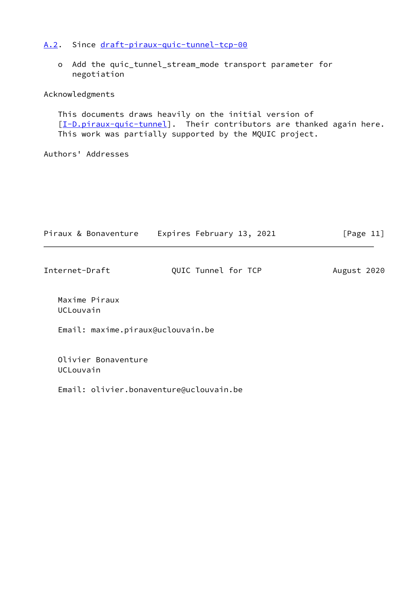### <span id="page-12-0"></span>[A.2](#page-12-0). Since [draft-piraux-quic-tunnel-tcp-00](https://datatracker.ietf.org/doc/pdf/draft-piraux-quic-tunnel-tcp-00)

 o Add the quic\_tunnel\_stream\_mode transport parameter for negotiation

#### Acknowledgments

 This documents draws heavily on the initial version of [\[I-D.piraux-quic-tunnel](#page-10-4)]. Their contributors are thanked again here. This work was partially supported by the MQUIC project.

#### Authors' Addresses

| Piraux & Bonaventure              | Expires February 13, 2021 | [Page $11$ ] |
|-----------------------------------|---------------------------|--------------|
| Internet-Draft                    | QUIC Tunnel for TCP       | August 2020  |
| Maxime Piraux<br>UCLouvain        |                           |              |
| Email: maxime.piraux@uclouvain.be |                           |              |
| Olivier Bonaventure<br>UCLouvain  |                           |              |

Email: olivier.bonaventure@uclouvain.be